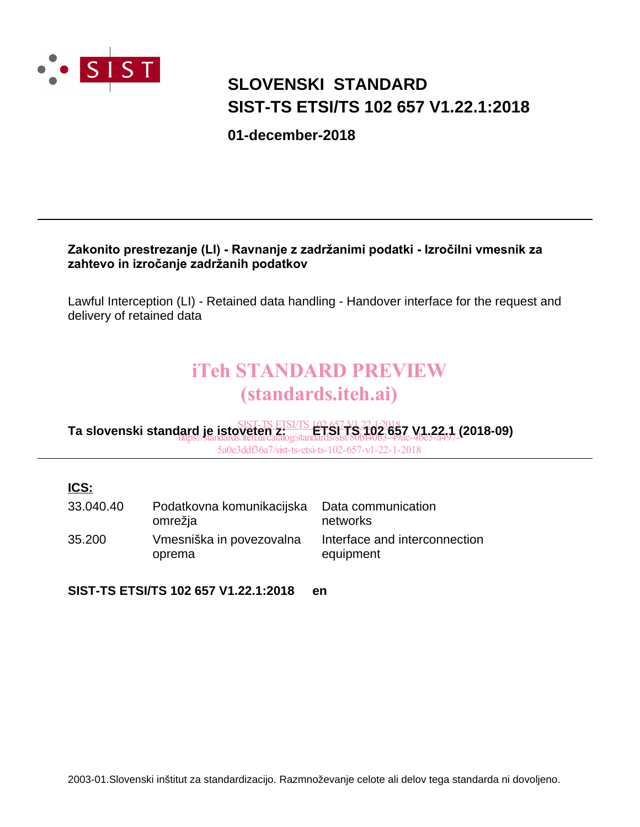

# **SIST-TS ETSI/TS 102 657 V1.22.1:2018 SLOVENSKI STANDARD**

**01-december-2018**

#### Zakonito prestrezanje (LI) - Ravnanje z zadržanimi podatki - Izročilni vmesnik za zahtevo in izročanje zadržanih podatkov

Lawful Interception (LI) - Retained data handling - Handover interface for the request and delivery of retained data

# iTeh STANDARD PREVIEW (standards.iteh.ai)

**Ta slovenski standard je istoveten z: ETSI TS 102 657 V1.22.1 (2018-09)** SIST-TS ETSI/TS 102 657 V1.22.1:2018 https://standards.iteh.ai/catalog/standards/sist/80bf40b3-49ac-4be5-a497-

5a0e3ddf36a7/sist-ts-etsi-ts-102-657-v1-22-1-2018

#### **ICS:**

| 33.040.40 | Podatkovna komunikacijska<br>omrežja | Data communication<br>networks             |
|-----------|--------------------------------------|--------------------------------------------|
| 35.200    | Vmesniška in povezovalna<br>oprema   | Interface and interconnection<br>equipment |

**SIST-TS ETSI/TS 102 657 V1.22.1:2018 en**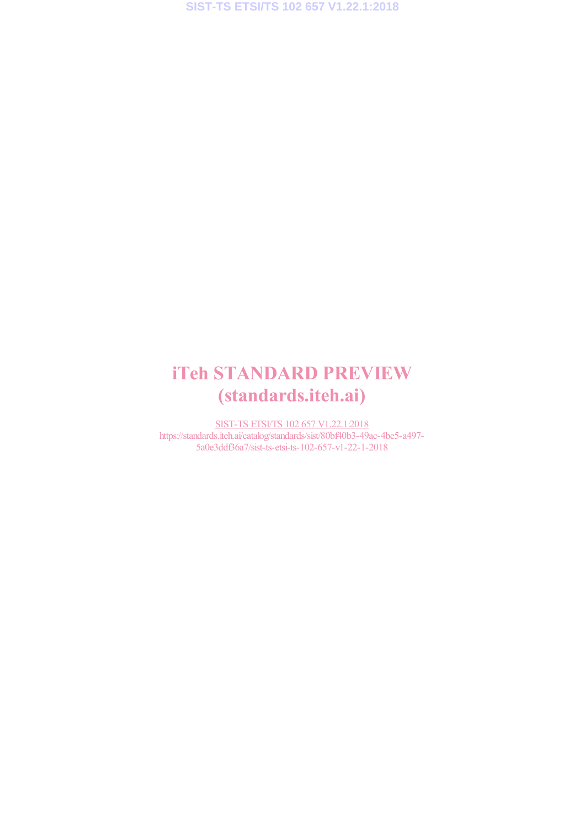# iTeh STANDARD PREVIEW (standards.iteh.ai)

SIST-TS ETSI/TS 102 657 V1.22.1:2018 https://standards.iteh.ai/catalog/standards/sist/80bf40b3-49ac-4be5-a497- 5a0e3ddf36a7/sist-ts-etsi-ts-102-657-v1-22-1-2018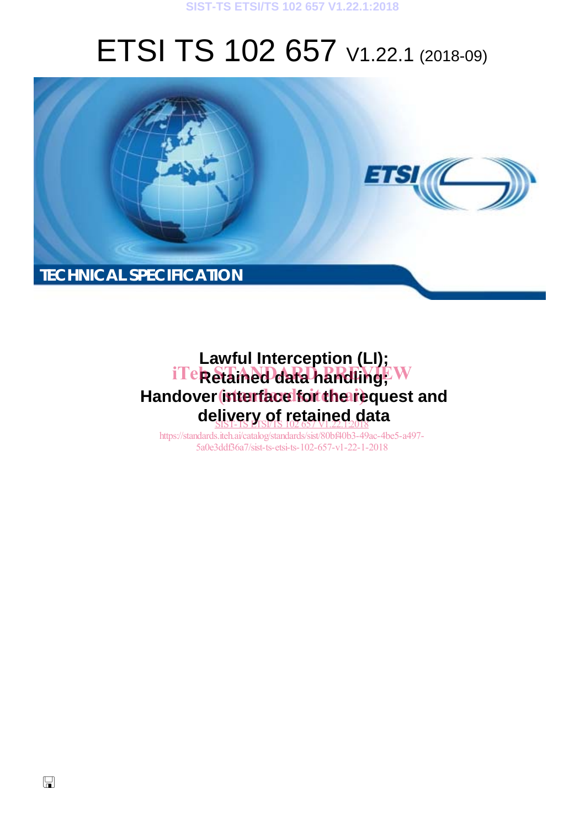#### **SIST-TS ETSI/TS 102 657 V1.22.1:2018**

# ETSI TS 102 657 V1.22.1 (2018-09)



# **Lawful Interception (LI);**  iTe**k Stained data handling**; W Handover interface for the request and **delivery of retained data**  SIST-TS ETSI/TS 102 657 V1.22.1:2018

https://standards.iteh.ai/catalog/standards/sist/80bf40b3-49ac-4be5-a497- 5a0e3ddf36a7/sist-ts-etsi-ts-102-657-v1-22-1-2018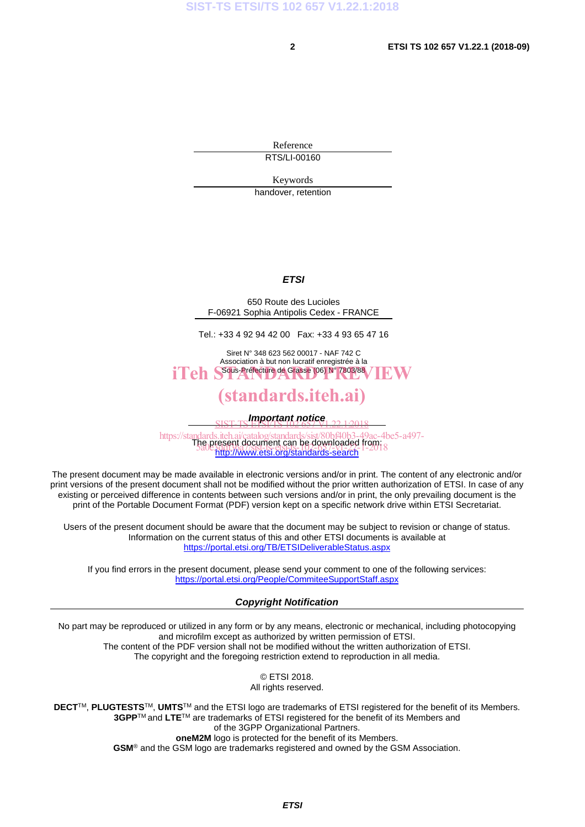Reference RTS/LI-00160

Keywords

handover, retention

#### *ETSI*

650 Route des Lucioles F-06921 Sophia Antipolis Cedex - FRANCE

Tel.: +33 4 92 94 42 00 Fax: +33 4 93 65 47 16

Siret N° 348 623 562 00017 - NAF 742 C Association à but non lucratif enregistrée à la iTeh S<sup>ous-Préfecture</sup> de Grasse (06) N° 7803/88 / IEW

## (standards.iteh.ai)

*Important notice*  SIST-TS ETSI/TS 102 657 V1.22.1:2018

https://standards.iteh.ai/catalog/standards/sist/80bf40b3-49ac-4be5-a497-<br>The present document can be downloaded from: http://www.etsi.org/standards-search <u>Fie present document can be downloaded</u> non<br>5a0e3dd136a7/sist-ts-etsi-ts-andards-search <sup>1–201</sup>8

The present document may be made available in electronic versions and/or in print. The content of any electronic and/or print versions of the present document shall not be modified without the prior written authorization of ETSI. In case of any existing or perceived difference in contents between such versions and/or in print, the only prevailing document is the print of the Portable Document Format (PDF) version kept on a specific network drive within ETSI Secretariat.

Users of the present document should be aware that the document may be subject to revision or change of status. Information on the current status of this and other ETSI documents is available at https://portal.etsi.org/TB/ETSIDeliverableStatus.aspx

If you find errors in the present document, please send your comment to one of the following services: https://portal.etsi.org/People/CommiteeSupportStaff.aspx

#### *Copyright Notification*

No part may be reproduced or utilized in any form or by any means, electronic or mechanical, including photocopying and microfilm except as authorized by written permission of ETSI. The content of the PDF version shall not be modified without the written authorization of ETSI. The copyright and the foregoing restriction extend to reproduction in all media.

> © ETSI 2018. All rights reserved.

**DECT**TM, **PLUGTESTS**TM, **UMTS**TM and the ETSI logo are trademarks of ETSI registered for the benefit of its Members. **3GPP**TM and **LTE**TM are trademarks of ETSI registered for the benefit of its Members and of the 3GPP Organizational Partners. **oneM2M** logo is protected for the benefit of its Members.

**GSM**® and the GSM logo are trademarks registered and owned by the GSM Association.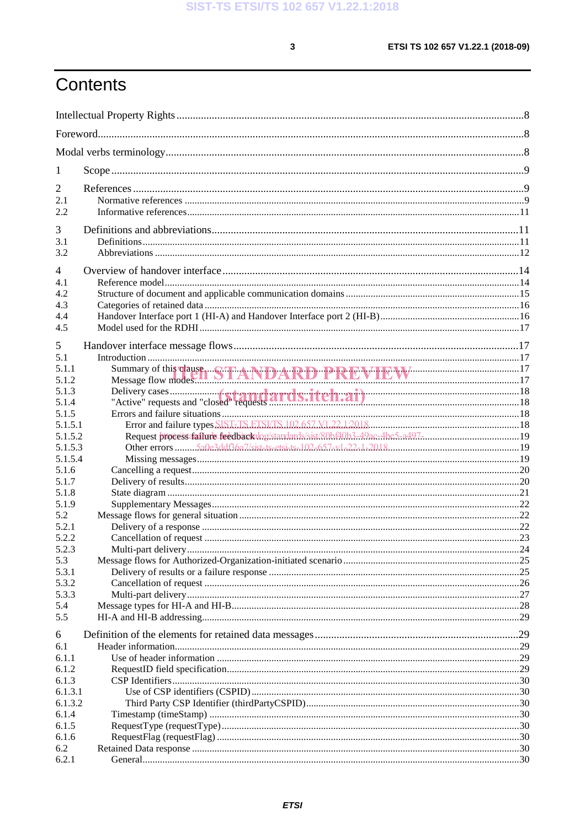$\mathbf{3}$ 

# Contents

| 1                  |                                                                                                        |  |
|--------------------|--------------------------------------------------------------------------------------------------------|--|
| 2                  |                                                                                                        |  |
| 2.1                |                                                                                                        |  |
| 2.2                |                                                                                                        |  |
|                    |                                                                                                        |  |
| 3                  |                                                                                                        |  |
| 3.1                |                                                                                                        |  |
| 3.2                |                                                                                                        |  |
| 4                  |                                                                                                        |  |
| 4.1                |                                                                                                        |  |
| 4.2                |                                                                                                        |  |
| 4.3                |                                                                                                        |  |
| 4.4                |                                                                                                        |  |
| 4.5                |                                                                                                        |  |
| 5                  |                                                                                                        |  |
| 5.1                |                                                                                                        |  |
| 5.1.1              |                                                                                                        |  |
| 5.1.2              | Summary of this clause STANDARD PREVIEW 17                                                             |  |
| 5.1.3              |                                                                                                        |  |
| 5.1.4              |                                                                                                        |  |
| 5.1.5              |                                                                                                        |  |
| 5.1.5.1            |                                                                                                        |  |
| 5.1.5.2            | Request process failure feedback log/standards/sist/80bf40b3-49ac-4be5-a497-min.min.min.min.min.min.19 |  |
| 5.1.5.3            |                                                                                                        |  |
| 5.1.5.4            |                                                                                                        |  |
| 5.1.6              |                                                                                                        |  |
| 5.1.7              |                                                                                                        |  |
| 5.1.8              |                                                                                                        |  |
| 5.1.9              |                                                                                                        |  |
| 5.2                |                                                                                                        |  |
| 5.2.1              |                                                                                                        |  |
| 5.2.2              |                                                                                                        |  |
| 5.2.3              |                                                                                                        |  |
| 5.3<br>5.3.1       |                                                                                                        |  |
| 5.3.2              |                                                                                                        |  |
| 5.3.3              |                                                                                                        |  |
| 5.4                |                                                                                                        |  |
| 5.5                |                                                                                                        |  |
|                    |                                                                                                        |  |
| 6                  |                                                                                                        |  |
| 6.1                |                                                                                                        |  |
| 6.1.1              |                                                                                                        |  |
| 6.1.2              |                                                                                                        |  |
| 6.1.3              |                                                                                                        |  |
| 6.1.3.1<br>6.1.3.2 |                                                                                                        |  |
| 6.1.4              |                                                                                                        |  |
| 6.1.5              |                                                                                                        |  |
| 6.1.6              |                                                                                                        |  |
| 6.2                |                                                                                                        |  |
| 6.2.1              |                                                                                                        |  |
|                    |                                                                                                        |  |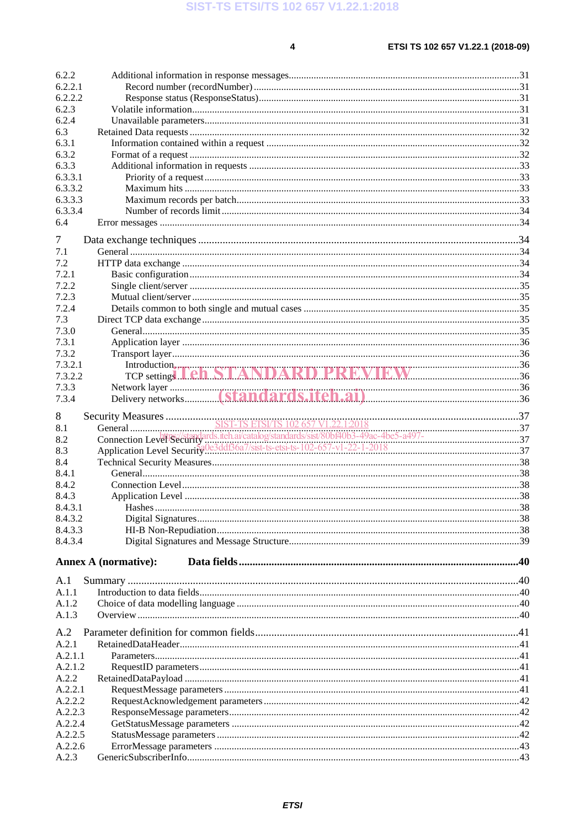$\overline{\mathbf{4}}$ 

| 6.2.2                   |                                             |  |
|-------------------------|---------------------------------------------|--|
|                         |                                             |  |
| 6.2.2.1                 |                                             |  |
| 6.2.2.2                 |                                             |  |
| 6.2.3                   |                                             |  |
| 6.2.4                   |                                             |  |
| 6.3                     |                                             |  |
| 6.3.1                   |                                             |  |
| 6.3.2                   |                                             |  |
| 6.3.3                   |                                             |  |
| 6.3.3.1                 |                                             |  |
| 6.3.3.2                 |                                             |  |
| 6.3.3.3                 |                                             |  |
| 6.3.3.4                 |                                             |  |
| 6.4                     |                                             |  |
|                         |                                             |  |
| 7                       |                                             |  |
| 7.1                     |                                             |  |
| 7.2                     |                                             |  |
| 7.2.1                   |                                             |  |
| 7.2.2                   |                                             |  |
| 7.2.3                   |                                             |  |
| 7.2.4                   |                                             |  |
| 7.3                     |                                             |  |
| 7.3.0                   |                                             |  |
| 7.3.1                   |                                             |  |
| 7.3.2                   |                                             |  |
| 7.3.2.1                 |                                             |  |
| 7.3.2.2                 | Introduction, The STANDARD PREVIEW 187 2009 |  |
| 7.3.3                   |                                             |  |
| 7.3.4                   |                                             |  |
|                         |                                             |  |
| 8                       |                                             |  |
| 8.1                     |                                             |  |
| 8.2                     |                                             |  |
| 8.3                     |                                             |  |
| 8.4                     |                                             |  |
|                         |                                             |  |
|                         |                                             |  |
|                         |                                             |  |
| 8.4.1<br>8.4.2<br>8.4.3 |                                             |  |
|                         |                                             |  |
|                         |                                             |  |
| 8.4.3.1<br>8.4.3.2      |                                             |  |
| 8.4.3.3                 |                                             |  |
| 8.4.3.4                 |                                             |  |
|                         | <b>Annex A (normative):</b>                 |  |
|                         |                                             |  |
| A.1<br>A.1.1            |                                             |  |
|                         |                                             |  |
| A.1.2<br>A.1.3          |                                             |  |
|                         |                                             |  |
| A.2                     |                                             |  |
| A.2.1                   |                                             |  |
| A.2.1.1                 |                                             |  |
| A.2.1.2                 |                                             |  |
| A.2.2                   |                                             |  |
| A.2.2.1                 |                                             |  |
| A.2.2.2                 |                                             |  |
| A.2.2.3                 |                                             |  |
| A.2.2.4                 |                                             |  |
| A.2.2.5                 |                                             |  |
| A.2.2.6<br>A.2.3        |                                             |  |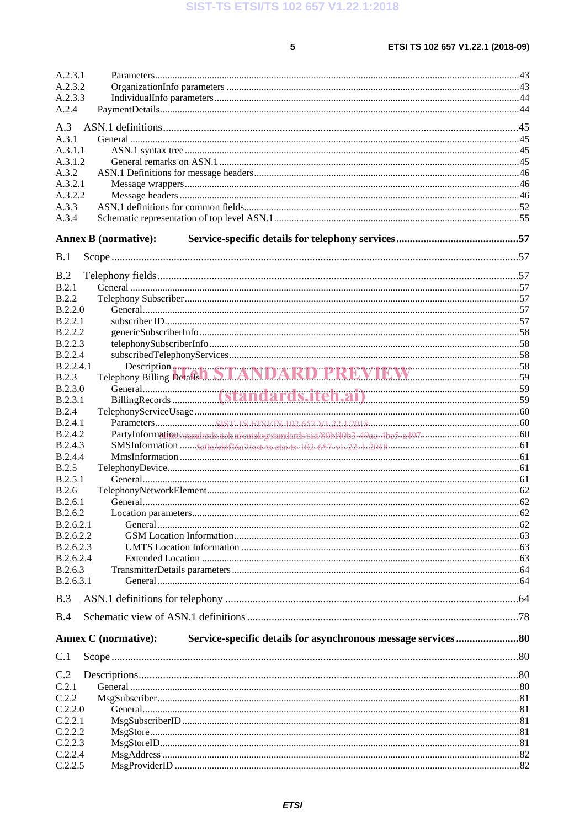$5\phantom{a}$ 

| A.2.3.1        |                                                     |  |
|----------------|-----------------------------------------------------|--|
| A.2.3.2        |                                                     |  |
| A.2.3.3        |                                                     |  |
| A.2.4          |                                                     |  |
| A.3            |                                                     |  |
| A.3.1          |                                                     |  |
| A.3.1.1        |                                                     |  |
| A.3.1.2        |                                                     |  |
| A.3.2          |                                                     |  |
| A.3.2.1        |                                                     |  |
| A.3.2.2        |                                                     |  |
| A.3.3          |                                                     |  |
| A.3.4          |                                                     |  |
|                |                                                     |  |
|                | <b>Annex B (normative):</b>                         |  |
| B.1            |                                                     |  |
| B.2            |                                                     |  |
| B.2.1          |                                                     |  |
| <b>B.2.2</b>   |                                                     |  |
| B.2.2.0        |                                                     |  |
| B.2.2.1        |                                                     |  |
| B.2.2.2        |                                                     |  |
| <b>B.2.2.3</b> |                                                     |  |
| B.2.2.4        |                                                     |  |
| B.2.2.4.1      |                                                     |  |
| B.2.3          | Description Billing Details 1. STANDARD PREVIEW 759 |  |
| B.2.3.0        |                                                     |  |
| B.2.3.1        |                                                     |  |
| <b>B.2.4</b>   |                                                     |  |
| <b>B.2.4.1</b> |                                                     |  |
| <b>B.2.4.2</b> |                                                     |  |
| B.2.4.3        |                                                     |  |
| <b>B.2.4.4</b> |                                                     |  |
| B.2.5          |                                                     |  |
| B.2.5.1        |                                                     |  |
| B.2.6          |                                                     |  |
| B.2.6.1        |                                                     |  |
| B.2.6.2        |                                                     |  |
| B.2.6.2.1      |                                                     |  |
| B.2.6.2.2      |                                                     |  |
| B.2.6.2.3      |                                                     |  |
| B.2.6.2.4      |                                                     |  |
| B.2.6.3        |                                                     |  |
| B.2.6.3.1      |                                                     |  |
| B.3            |                                                     |  |
| B.4            |                                                     |  |
|                | <b>Annex C</b> (normative):                         |  |
| C.1            |                                                     |  |
| C.2            |                                                     |  |
| C.2.1          |                                                     |  |
| C.2.2          |                                                     |  |
| C.2.2.0        |                                                     |  |
| C.2.2.1        |                                                     |  |
| C.2.2.2        |                                                     |  |
| C.2.2.3        |                                                     |  |
| C.2.2.4        |                                                     |  |
| C.2.2.5        |                                                     |  |
|                |                                                     |  |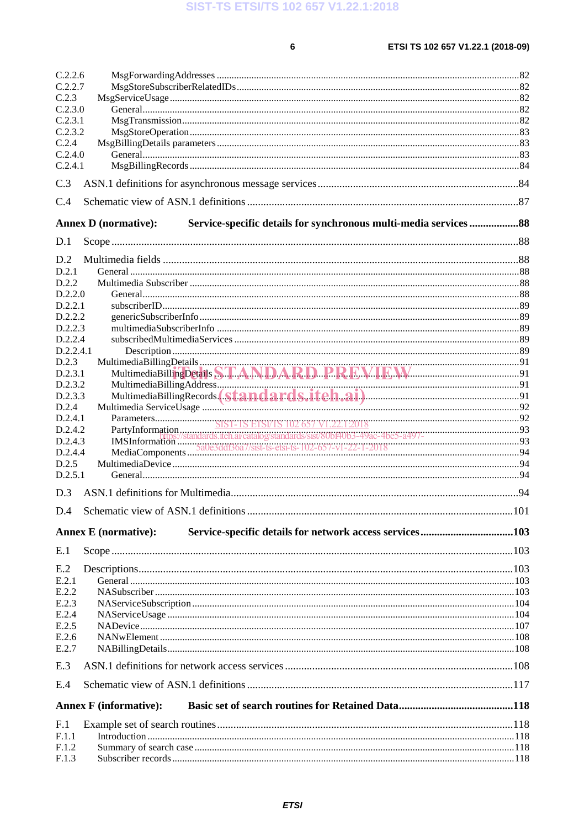$\bf 6$ 

| C.2.2.6   |                                                                                                  |  |
|-----------|--------------------------------------------------------------------------------------------------|--|
| C.2.2.7   |                                                                                                  |  |
| C.2.3     |                                                                                                  |  |
| C.2.3.0   |                                                                                                  |  |
| C.2.3.1   |                                                                                                  |  |
| C.2.3.2   |                                                                                                  |  |
| C.2.4     |                                                                                                  |  |
| C.2.4.0   |                                                                                                  |  |
| C.2.4.1   |                                                                                                  |  |
| C.3       |                                                                                                  |  |
| C.4       |                                                                                                  |  |
|           | Service-specific details for synchronous multi-media services  88<br><b>Annex D</b> (normative): |  |
| D.1       |                                                                                                  |  |
| D.2       |                                                                                                  |  |
| D.2.1     |                                                                                                  |  |
| D.2.2     |                                                                                                  |  |
| D.2.2.0   |                                                                                                  |  |
| D.2.2.1   |                                                                                                  |  |
| D.2.2.2   |                                                                                                  |  |
| D.2.2.3   |                                                                                                  |  |
| D.2.2.4   |                                                                                                  |  |
| D.2.2.4.1 |                                                                                                  |  |
| D.2.3     |                                                                                                  |  |
| D.2.3.1   |                                                                                                  |  |
| D.2.3.2   |                                                                                                  |  |
| D.2.3.3   |                                                                                                  |  |
| D.2.4     |                                                                                                  |  |
| D.2.4.1   |                                                                                                  |  |
| D.2.4.2   |                                                                                                  |  |
| D.2.4.3   |                                                                                                  |  |
| D.2.4.4   |                                                                                                  |  |
| D.2.5     |                                                                                                  |  |
| D.2.5.1   |                                                                                                  |  |
|           |                                                                                                  |  |
| D.3       |                                                                                                  |  |
|           |                                                                                                  |  |
|           | Service-specific details for network access services103<br><b>Annex E</b> (normative):           |  |
| E.1       |                                                                                                  |  |
| E.2       |                                                                                                  |  |
| E.2.1     |                                                                                                  |  |
| E.2.2     |                                                                                                  |  |
| E.2.3     |                                                                                                  |  |
| E.2.4     |                                                                                                  |  |
| E.2.5     |                                                                                                  |  |
| E.2.6     |                                                                                                  |  |
| E.2.7     |                                                                                                  |  |
| E.3       |                                                                                                  |  |
|           |                                                                                                  |  |
| E.4       |                                                                                                  |  |
|           | <b>Annex F</b> (informative):                                                                    |  |
| F.1       |                                                                                                  |  |
| F.1.1     |                                                                                                  |  |
| F.1.2     |                                                                                                  |  |
| F.1.3     |                                                                                                  |  |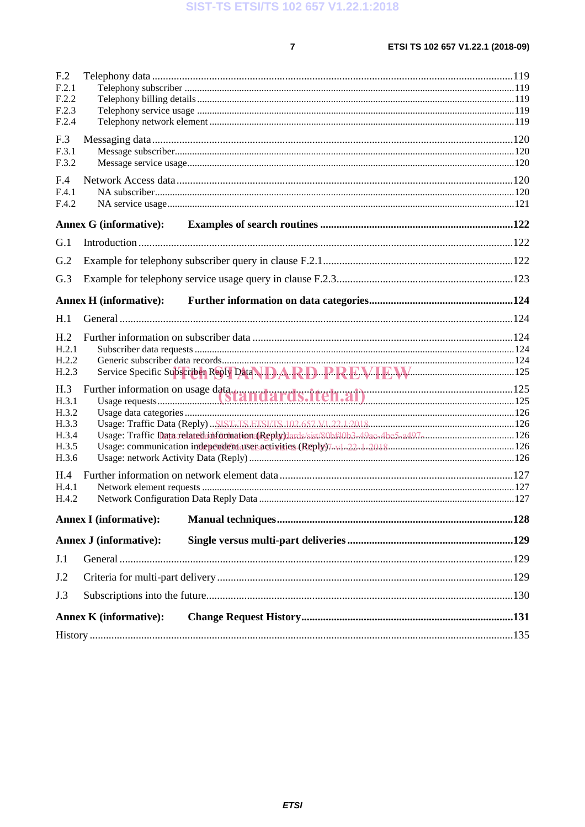$\overline{7}$ 

|                          | <b>Annex K (informative):</b> |                                                                                                        |  |
|--------------------------|-------------------------------|--------------------------------------------------------------------------------------------------------|--|
| J.3                      |                               |                                                                                                        |  |
| J.2                      |                               |                                                                                                        |  |
| J.1                      |                               |                                                                                                        |  |
|                          | <b>Annex J (informative):</b> |                                                                                                        |  |
|                          | <b>Annex I</b> (informative): |                                                                                                        |  |
| H.4.2                    |                               |                                                                                                        |  |
| H.4<br>H.4.1             |                               |                                                                                                        |  |
| H.3.6                    |                               |                                                                                                        |  |
| H.3.5                    |                               |                                                                                                        |  |
| H.3.3<br>H.3.4           |                               | Usage: Traffic Data related information (Reply) dards/sist/80bf40b3-49ac-4be5-a497 minumum minumum 126 |  |
| H.3.2                    |                               |                                                                                                        |  |
| H.3<br>H.3.1             |                               |                                                                                                        |  |
| H.2.3                    |                               | Service Specific Subscriber Reply Data. D.A.R.D. P.R.E.V.I.E.W.                                        |  |
| H.2.2                    |                               |                                                                                                        |  |
| H <sub>.2</sub><br>H.2.1 |                               |                                                                                                        |  |
| H.1                      |                               |                                                                                                        |  |
|                          | <b>Annex H</b> (informative): |                                                                                                        |  |
|                          |                               |                                                                                                        |  |
| G.3                      |                               |                                                                                                        |  |
| G.2                      |                               |                                                                                                        |  |
| G.1                      |                               |                                                                                                        |  |
|                          | <b>Annex G (informative):</b> |                                                                                                        |  |
| F.4.1<br>F.4.2           |                               |                                                                                                        |  |
| F.4                      |                               |                                                                                                        |  |
| F.3.2                    |                               |                                                                                                        |  |
| F.3<br>F.3.1             |                               |                                                                                                        |  |
| F.2.4                    |                               |                                                                                                        |  |
| F.2.2<br>F.2.3           |                               |                                                                                                        |  |
| F.2.1                    |                               |                                                                                                        |  |
| F <sub>.2</sub>          |                               |                                                                                                        |  |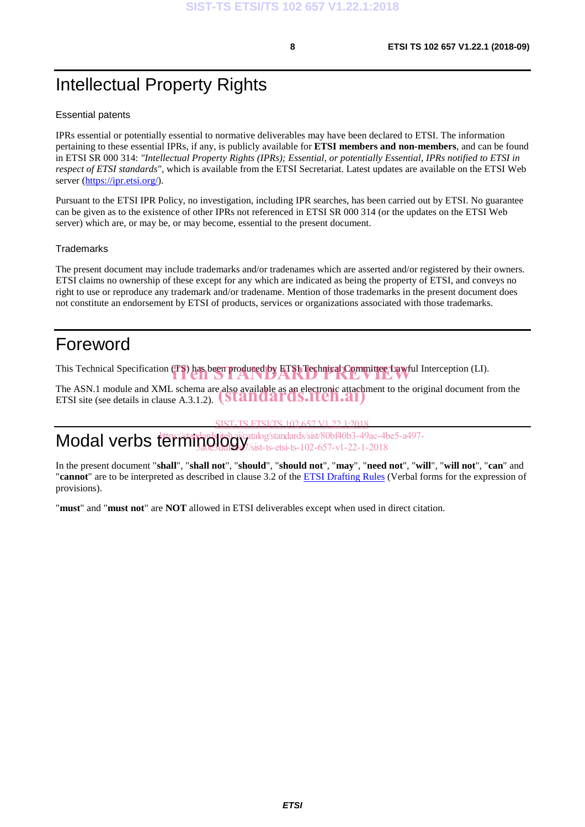# Intellectual Property Rights

#### Essential patents

IPRs essential or potentially essential to normative deliverables may have been declared to ETSI. The information pertaining to these essential IPRs, if any, is publicly available for **ETSI members and non-members**, and can be found in ETSI SR 000 314: *"Intellectual Property Rights (IPRs); Essential, or potentially Essential, IPRs notified to ETSI in respect of ETSI standards"*, which is available from the ETSI Secretariat. Latest updates are available on the ETSI Web server (https://ipr.etsi.org/).

Pursuant to the ETSI IPR Policy, no investigation, including IPR searches, has been carried out by ETSI. No guarantee can be given as to the existence of other IPRs not referenced in ETSI SR 000 314 (or the updates on the ETSI Web server) which are, or may be, or may become, essential to the present document.

#### **Trademarks**

The present document may include trademarks and/or tradenames which are asserted and/or registered by their owners. ETSI claims no ownership of these except for any which are indicated as being the property of ETSI, and conveys no right to use or reproduce any trademark and/or tradename. Mention of those trademarks in the present document does not constitute an endorsement by ETSI of products, services or organizations associated with those trademarks.

## Foreword

This Technical Specification (TS) has been produced by ETSI Technical Committee Lawful Interception (LI).

The ASN.1 module and XML schema are also available as an electronic attachment to the original document from the The ASN.1 module and XML schema are also available as an electronic attachn<br>ETSI site (see details in clause A.3.1.2). (Standards.iteh.ai)

**SIST-TS ETSI/TS 102 657 V1.22.1:2019** 

 $\textsf{Modal}$  verbs  $\overset{\textsf{terming}}{\textsf{prodingology}}$ /standards/sist/80bf40b3-49ac-4be5-a497-5a0e3ddf36a7/sist-ts-etsi-ts-102-657-v1-22-1-2018

In the present document "**shall**", "**shall not**", "**should**", "**should not**", "**may**", "**need not**", "**will**", "**will not**", "**can**" and "**cannot**" are to be interpreted as described in clause 3.2 of the ETSI Drafting Rules (Verbal forms for the expression of provisions).

"**must**" and "**must not**" are **NOT** allowed in ETSI deliverables except when used in direct citation.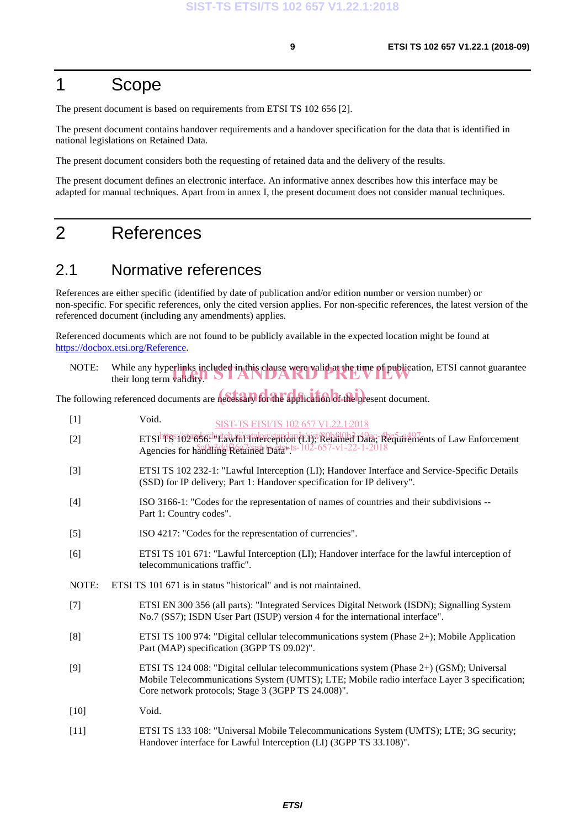## 1 Scope

The present document is based on requirements from ETSI TS 102 656 [2].

The present document contains handover requirements and a handover specification for the data that is identified in national legislations on Retained Data.

The present document considers both the requesting of retained data and the delivery of the results.

The present document defines an electronic interface. An informative annex describes how this interface may be adapted for manual techniques. Apart from in annex I, the present document does not consider manual techniques.

## 2 References

## 2.1 Normative references

References are either specific (identified by date of publication and/or edition number or version number) or non-specific. For specific references, only the cited version applies. For non-specific references, the latest version of the referenced document (including any amendments) applies.

Referenced documents which are not found to be publicly available in the expected location might be found at https://docbox.etsi.org/Reference.

| NOTE: | While any hyperlinks included in this clause were valid at the time of publication, ETSI cannot guarantee their long term validity. |
|-------|-------------------------------------------------------------------------------------------------------------------------------------|
|       |                                                                                                                                     |

The following referenced documents are necessary for the application of the present document.

| $[1]$  | Void.<br>SIST-TS ETSI/TS 102 657 V1.22.1:2018                                                                                                                                                                                                 |
|--------|-----------------------------------------------------------------------------------------------------------------------------------------------------------------------------------------------------------------------------------------------|
| $[2]$  | ETSI <sup>htt</sup> SS/6503636.http://atalog/standarde/rist/80b510b370ac-4be5-a497ents of Law Enforcement<br>Agencies for handling Retained Datai-ts-102-657-v1-22-1-2018                                                                     |
| $[3]$  | ETSI TS 102 232-1: "Lawful Interception (LI); Handover Interface and Service-Specific Details<br>(SSD) for IP delivery; Part 1: Handover specification for IP delivery".                                                                      |
| $[4]$  | ISO 3166-1: "Codes for the representation of names of countries and their subdivisions --<br>Part 1: Country codes".                                                                                                                          |
| $[5]$  | ISO 4217: "Codes for the representation of currencies".                                                                                                                                                                                       |
| [6]    | ETSI TS 101 671: "Lawful Interception (LI); Handover interface for the lawful interception of<br>telecommunications traffic".                                                                                                                 |
| NOTE:  | ETSI TS 101 671 is in status "historical" and is not maintained.                                                                                                                                                                              |
| $[7]$  | ETSI EN 300 356 (all parts): "Integrated Services Digital Network (ISDN); Signalling System<br>No.7 (SS7); ISDN User Part (ISUP) version 4 for the international interface".                                                                  |
| [8]    | ETSI TS 100 974: "Digital cellular telecommunications system (Phase 2+); Mobile Application<br>Part (MAP) specification (3GPP TS 09.02)".                                                                                                     |
| [9]    | ETSI TS 124 008: "Digital cellular telecommunications system (Phase 2+) (GSM); Universal<br>Mobile Telecommunications System (UMTS); LTE; Mobile radio interface Layer 3 specification;<br>Core network protocols; Stage 3 (3GPP TS 24.008)". |
| $[10]$ | Void.                                                                                                                                                                                                                                         |
| $[11]$ | ETSI TS 133 108: "Universal Mobile Telecommunications System (UMTS); LTE; 3G security;<br>Handover interface for Lawful Interception (LI) (3GPP TS 33.108)".                                                                                  |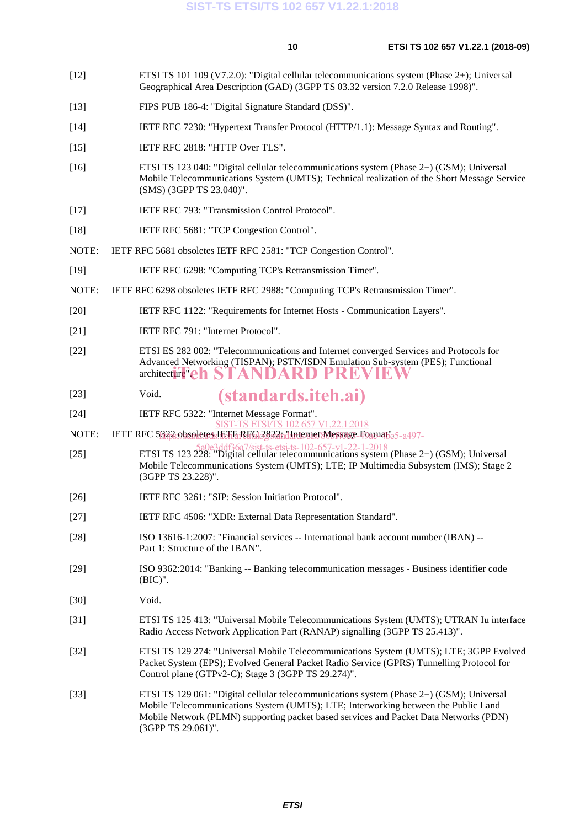- [12] ETSI TS 101 109 (V7.2.0): "Digital cellular telecommunications system (Phase 2+); Universal Geographical Area Description (GAD) (3GPP TS 03.32 version 7.2.0 Release 1998)".
- [13] FIPS PUB 186-4: "Digital Signature Standard (DSS)".
- [14] IETF RFC 7230: "Hypertext Transfer Protocol (HTTP/1.1): Message Syntax and Routing".
- [15] IETF RFC 2818: "HTTP Over TLS".
- [16] ETSI TS 123 040: "Digital cellular telecommunications system (Phase 2+) (GSM); Universal Mobile Telecommunications System (UMTS); Technical realization of the Short Message Service (SMS) (3GPP TS 23.040)".
- [17] IETF RFC 793: "Transmission Control Protocol".
- [18] IETF RFC 5681: "TCP Congestion Control".
- NOTE: IETF RFC 5681 obsoletes IETF RFC 2581: "TCP Congestion Control".
- [19] IETF RFC 6298: "Computing TCP's Retransmission Timer".
- NOTE: IETF RFC 6298 obsoletes IETF RFC 2988: "Computing TCP's Retransmission Timer".
- [20] IETF RFC 1122: "Requirements for Internet Hosts Communication Layers".
- [21] **IETF RFC 791: "Internet Protocol".**
- [22] ETSI ES 282 002: "Telecommunications and Internet converged Services and Protocols for Advanced Networking (TISPAN); PSTN/ISDN Emulation Sub-system (PES); Functional architecture"eh STANDARD PREVIEW
- [23] Void. (standards.iteh.ai)
- [24] IETF RFC 5322: "Internet Message Format".
- SIST-TS ETSI/TS 102 657 V1.22.1:2018
- NOTE: IETF RFC 5<u>322 obsoletes JETFARFG12822mdInternet Me</u>ssage Format55-a497-
- [25] ETSI TS 123 228: "Digital cellular telecommunications system (Phase 2+) (GSM); Universal 5a0e3ddf36a7/sist-ts-etsi-ts-102-657-v1-22-1-2018Mobile Telecommunications System (UMTS); LTE; IP Multimedia Subsystem (IMS); Stage 2 (3GPP TS 23.228)".
- [26] IETF RFC 3261: "SIP: Session Initiation Protocol".
- [27] IETF RFC 4506: "XDR: External Data Representation Standard".
- [28] ISO 13616-1:2007: "Financial services -- International bank account number (IBAN) -- Part 1: Structure of the IBAN".
- [29] ISO 9362:2014: "Banking -- Banking telecommunication messages Business identifier code (BIC)".
- [30] Void.
- [31] ETSI TS 125 413: "Universal Mobile Telecommunications System (UMTS); UTRAN Iu interface Radio Access Network Application Part (RANAP) signalling (3GPP TS 25.413)".
- [32] ETSI TS 129 274: "Universal Mobile Telecommunications System (UMTS); LTE; 3GPP Evolved Packet System (EPS); Evolved General Packet Radio Service (GPRS) Tunnelling Protocol for Control plane (GTPv2-C); Stage 3 (3GPP TS 29.274)".
- [33] ETSI TS 129 061: "Digital cellular telecommunications system (Phase 2+) (GSM); Universal Mobile Telecommunications System (UMTS); LTE; Interworking between the Public Land Mobile Network (PLMN) supporting packet based services and Packet Data Networks (PDN) (3GPP TS 29.061)".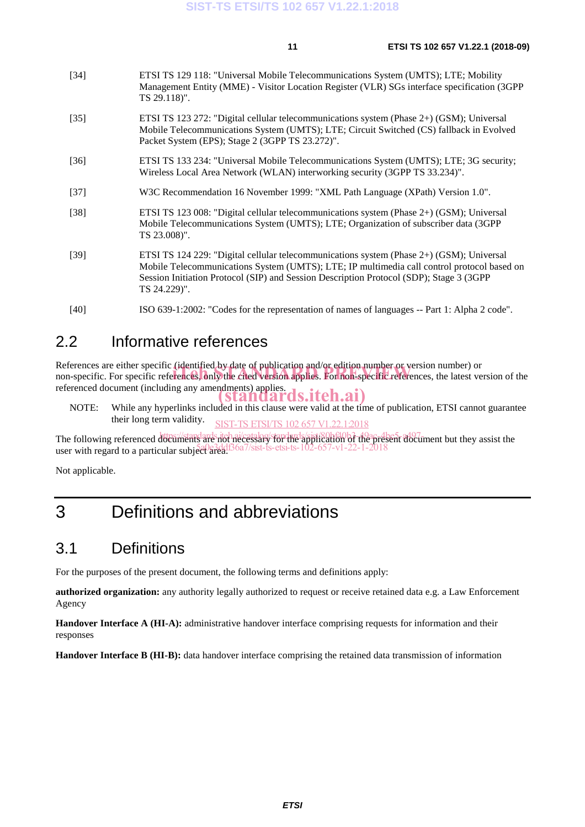| $[34]$             | ETSI TS 129 118: "Universal Mobile Telecommunications System (UMTS); LTE; Mobility<br>Management Entity (MME) - Visitor Location Register (VLR) SGs interface specification (3GPP)<br>TS 29.118)".                                     |
|--------------------|----------------------------------------------------------------------------------------------------------------------------------------------------------------------------------------------------------------------------------------|
| $[35]$             | ETSI TS 123 272: "Digital cellular telecommunications system (Phase 2+) (GSM); Universal<br>Mobile Telecommunications System (UMTS); LTE; Circuit Switched (CS) fallback in Evolved<br>Packet System (EPS); Stage 2 (3GPP TS 23.272)". |
| $\lceil 36 \rceil$ | ETSI TS 133 234: "Universal Mobile Telecommunications System (UMTS); LTE; 3G security;<br>Wireless Local Area Network (WLAN) interworking security (3GPP TS 33.234)".                                                                  |
| $[37]$             | W3C Recommendation 16 November 1999: "XML Path Language (XPath) Version 1.0".                                                                                                                                                          |
| $[38]$             | ETSI TS 123 008: "Digital cellular telecommunications system (Phase 2+) (GSM); Universal<br>Mobile Telecommunications System (UMTS); LTE; Organization of subscriber data (3GPP)                                                       |

- [39] ETSI TS 124 229: "Digital cellular telecommunications system (Phase 2+) (GSM); Universal Mobile Telecommunications System (UMTS); LTE; IP multimedia call control protocol based on Session Initiation Protocol (SIP) and Session Description Protocol (SDP); Stage 3 (3GPP TS 24.229)".
- [40] ISO 639-1:2002: "Codes for the representation of names of languages -- Part 1: Alpha 2 code".

### 2.2 Informative references

TS 23.008)".

References are either specific (identified by date of publication and/or edition number or version number) or References are either specific (identified by date of publication and/or edition number or version number) or<br>non-specific. For specific references, only the cited version applies. For non-specific references, the latest v referenced document (including any amendments) applies. standards.iteh.ai)

NOTE: While any hyperlinks included in this clause were valid at the time of publication, ETSI cannot guarantee their long term validity. SIST-TS ETSI/TS 102 657 V1.22.1:2018

The following referenced documents are not necessary for the application of the present document but they assist the user with regard to a particular subject area.  $\frac{3}{4}$ ddf36a7/sist-ts-etsi-ts-102-657-v1-22-1-2018

Not applicable.

# 3 Definitions and abbreviations

## 3.1 Definitions

For the purposes of the present document, the following terms and definitions apply:

**authorized organization:** any authority legally authorized to request or receive retained data e.g. a Law Enforcement Agency

**Handover Interface A (HI-A):** administrative handover interface comprising requests for information and their responses

**Handover Interface B (HI-B):** data handover interface comprising the retained data transmission of information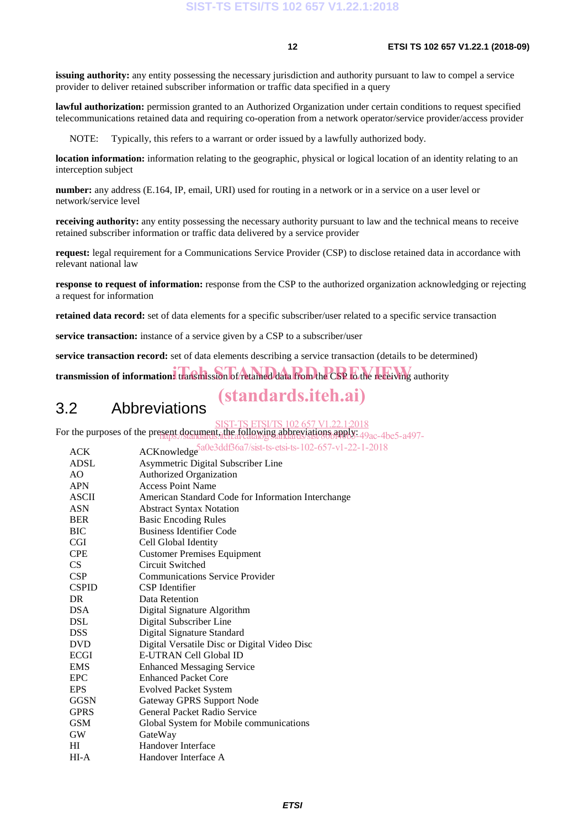**issuing authority:** any entity possessing the necessary jurisdiction and authority pursuant to law to compel a service provider to deliver retained subscriber information or traffic data specified in a query

**lawful authorization:** permission granted to an Authorized Organization under certain conditions to request specified telecommunications retained data and requiring co-operation from a network operator/service provider/access provider

NOTE: Typically, this refers to a warrant or order issued by a lawfully authorized body.

**location information:** information relating to the geographic, physical or logical location of an identity relating to an interception subject

**number:** any address (E.164, IP, email, URI) used for routing in a network or in a service on a user level or network/service level

**receiving authority:** any entity possessing the necessary authority pursuant to law and the technical means to receive retained subscriber information or traffic data delivered by a service provider

**request:** legal requirement for a Communications Service Provider (CSP) to disclose retained data in accordance with relevant national law

**response to request of information:** response from the CSP to the authorized organization acknowledging or rejecting a request for information

**retained data record:** set of data elements for a specific subscriber/user related to a specific service transaction

**service transaction:** instance of a service given by a CSP to a subscriber/user

**service transaction record:** set of data elements describing a service transaction (details to be determined)

transmission of information: transmission of retained data from the CSP to the receiving authority

## (standards.iteh.ai)

## 3.2 Abbreviations

ST-TS ETSI/TS 102 657 V1.22.1:2018

For the purposes of the present document, the following abbreviations apply:  $\frac{49}{2}$ ac-4be5-a497-

| <b>ACK</b>     | ACKnowledge 5a0e3ddf36a7/sist-ts-etsi-ts-102-657-v1-22-1-2018 |
|----------------|---------------------------------------------------------------|
| <b>ADSL</b>    | Asymmetric Digital Subscriber Line                            |
| AO             | <b>Authorized Organization</b>                                |
| <b>APN</b>     | <b>Access Point Name</b>                                      |
| ASCII          | American Standard Code for Information Interchange            |
| <b>ASN</b>     | <b>Abstract Syntax Notation</b>                               |
| <b>BER</b>     | <b>Basic Encoding Rules</b>                                   |
| BIC            | <b>Business Identifier Code</b>                               |
| <b>CGI</b>     | Cell Global Identity                                          |
| <b>CPE</b>     | <b>Customer Premises Equipment</b>                            |
| CS             | Circuit Switched                                              |
| <b>CSP</b>     | <b>Communications Service Provider</b>                        |
| <b>CSPID</b>   | <b>CSP</b> Identifier                                         |
| D <sub>R</sub> | Data Retention                                                |
| <b>DSA</b>     | Digital Signature Algorithm                                   |
| <b>DSL</b>     | Digital Subscriber Line                                       |
| <b>DSS</b>     | Digital Signature Standard                                    |
| <b>DVD</b>     | Digital Versatile Disc or Digital Video Disc                  |
| <b>ECGI</b>    | <b>E-UTRAN Cell Global ID</b>                                 |
| <b>EMS</b>     | <b>Enhanced Messaging Service</b>                             |
| EPC            | <b>Enhanced Packet Core</b>                                   |
| <b>EPS</b>     | <b>Evolved Packet System</b>                                  |
| <b>GGSN</b>    | <b>Gateway GPRS Support Node</b>                              |
| <b>GPRS</b>    | General Packet Radio Service                                  |
| <b>GSM</b>     | Global System for Mobile communications                       |
| <b>GW</b>      | GateWay                                                       |
| HI             | Handover Interface                                            |
| $HI-A$         | Handover Interface A                                          |